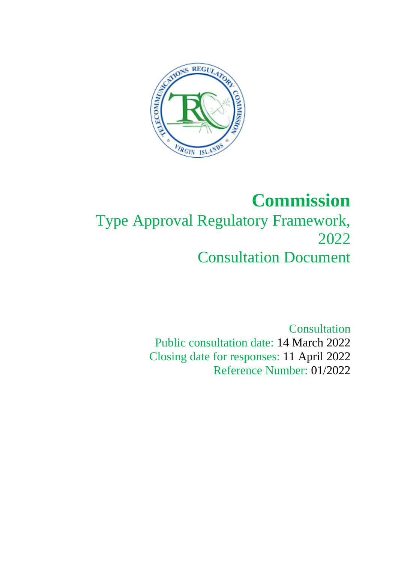

# **Commission**

## Type Approval Regulatory Framework, 2022 Consultation Document

Consultation Public consultation date: 14 March 2022 Closing date for responses: 11 April 2022 Reference Number: 01/2022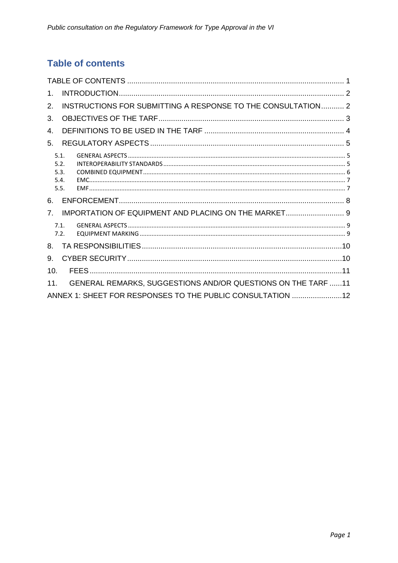## <span id="page-1-0"></span>**Table of contents**

| $\mathbf 1$ .                                                          |  |  |
|------------------------------------------------------------------------|--|--|
| INSTRUCTIONS FOR SUBMITTING A RESPONSE TO THE CONSULTATION 2<br>2.     |  |  |
| 3.                                                                     |  |  |
| 4.                                                                     |  |  |
| 5.                                                                     |  |  |
| 5.1.<br>5.2.<br>5.3.<br>5.4.<br>5.5.                                   |  |  |
| 6.                                                                     |  |  |
| IMPORTATION OF EQUIPMENT AND PLACING ON THE MARKET 9<br>7 <sup>1</sup> |  |  |
| 71<br>7.2.                                                             |  |  |
| 8.                                                                     |  |  |
| 9.                                                                     |  |  |
| 10 <sub>1</sub>                                                        |  |  |
| GENERAL REMARKS, SUGGESTIONS AND/OR QUESTIONS ON THE TARF 11<br>11.    |  |  |
| ANNEX 1: SHEET FOR RESPONSES TO THE PUBLIC CONSULTATION 12             |  |  |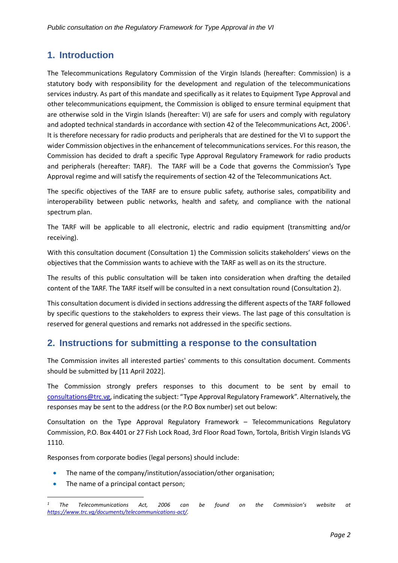## <span id="page-2-0"></span>**1. Introduction**

The Telecommunications Regulatory Commission of the Virgin Islands (hereafter: Commission) is a statutory body with responsibility for the development and regulation of the telecommunications services industry. As part of this mandate and specifically as it relates to Equipment Type Approval and other telecommunications equipment, the Commission is obliged to ensure terminal equipment that are otherwise sold in the Virgin Islands (hereafter: VI) are safe for users and comply with regulatory and adopted technical standards in accordance with section 42 of the Telecommunications Act, 2006<sup>1</sup>. It is therefore necessary for radio products and peripherals that are destined for the VI to support the wider Commission objectives in the enhancement of telecommunications services. For this reason, the Commission has decided to draft a specific Type Approval Regulatory Framework for radio products and peripherals (hereafter: TARF). The TARF will be a Code that governs the Commission's Type Approval regime and will satisfy the requirements of section 42 of the Telecommunications Act.

The specific objectives of the TARF are to ensure public safety, authorise sales, compatibility and interoperability between public networks, health and safety, and compliance with the national spectrum plan.

The TARF will be applicable to all electronic, electric and radio equipment (transmitting and/or receiving).

With this consultation document (Consultation 1) the Commission solicits stakeholders' views on the objectives that the Commission wants to achieve with the TARF as well as on its the structure.

The results of this public consultation will be taken into consideration when drafting the detailed content of the TARF. The TARF itself will be consulted in a next consultation round (Consultation 2).

This consultation document is divided in sections addressing the different aspects of the TARF followed by specific questions to the stakeholders to express their views. The last page of this consultation is reserved for general questions and remarks not addressed in the specific sections.

## <span id="page-2-1"></span>**2. Instructions for submitting a response to the consultation**

The Commission invites all interested parties' comments to this consultation document. Comments should be submitted by [11 April 2022].

The Commission strongly prefers responses to this document to be sent by email to [consultations@trc.vg,](mailto:consultations@trc.vg) indicating the subject: "Type Approval Regulatory Framework". Alternatively, the responses may be sent to the address (or the P.O Box number) set out below:

Consultation on the Type Approval Regulatory Framework – Telecommunications Regulatory Commission, P.O. Box 4401 or 27 Fish Lock Road, 3rd Floor Road Town, Tortola, British Virgin Islands VG 1110.

Responses from corporate bodies (legal persons) should include:

- The name of the company/institution/association/other organisation;
- The name of a principal contact person;

*<sup>1</sup> The Telecommunications Act, 2006 can be found on the Commission's website at [https://www.trc.vg/documents/telecommunications-act/.](https://www.trc.vg/documents/telecommunications-act/)*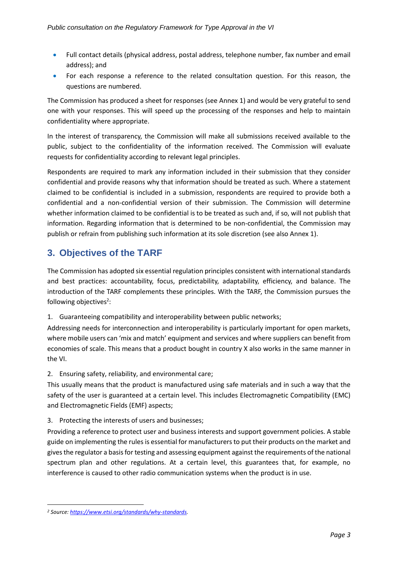- Full contact details (physical address, postal address, telephone number, fax number and email address); and
- For each response a reference to the related consultation question. For this reason, the questions are numbered.

The Commission has produced a sheet for responses (see Annex 1) and would be very grateful to send one with your responses. This will speed up the processing of the responses and help to maintain confidentiality where appropriate.

In the interest of transparency, the Commission will make all submissions received available to the public, subject to the confidentiality of the information received. The Commission will evaluate requests for confidentiality according to relevant legal principles.

Respondents are required to mark any information included in their submission that they consider confidential and provide reasons why that information should be treated as such. Where a statement claimed to be confidential is included in a submission, respondents are required to provide both a confidential and a non-confidential version of their submission. The Commission will determine whether information claimed to be confidential is to be treated as such and, if so, will not publish that information. Regarding information that is determined to be non-confidential, the Commission may publish or refrain from publishing such information at its sole discretion (see also Annex 1).

## <span id="page-3-0"></span>**3. Objectives of the TARF**

The Commission has adopted six essential regulation principles consistent with international standards and best practices: accountability, focus, predictability, adaptability, efficiency, and balance. The introduction of the TARF complements these principles. With the TARF, the Commission pursues the following objectives<sup>2</sup>:

1. Guaranteeing compatibility and interoperability between public networks;

Addressing needs for interconnection and interoperability is particularly important for open markets, where mobile users can 'mix and match' equipment and services and where suppliers can benefit from economies of scale. This means that a product bought in country X also works in the same manner in the VI.

2. Ensuring safety, reliability, and environmental care;

This usually means that the product is manufactured using safe materials and in such a way that the safety of the user is guaranteed at a certain level. This includes Electromagnetic Compatibility (EMC) and Electromagnetic Fields (EMF) aspects;

3. Protecting the interests of users and businesses;

Providing a reference to protect user and business interests and support government policies. A stable guide on implementing the rules is essential for manufacturers to put their products on the market and gives the regulator a basis for testing and assessing equipment against the requirements of the national spectrum plan and other regulations. At a certain level, this guarantees that, for example, no interference is caused to other radio communication systems when the product is in use.

*<sup>2</sup> Source: [https://www.etsi.org/standards/why-standards.](https://www.etsi.org/standards/why-standards)*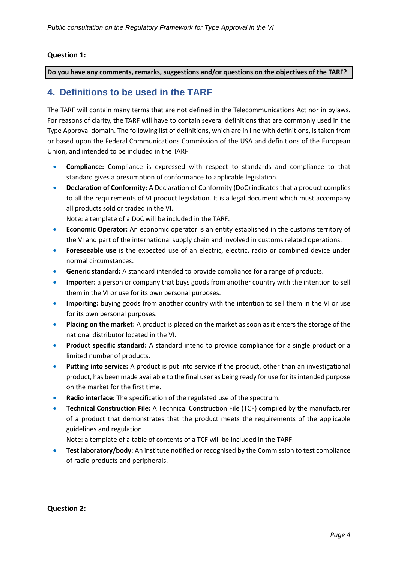## **Question 1:**

#### **Do you have any comments, remarks, suggestions and/or questions on the objectives of the TARF?**

## <span id="page-4-0"></span>**4. Definitions to be used in the TARF**

The TARF will contain many terms that are not defined in the Telecommunications Act nor in bylaws. For reasons of clarity, the TARF will have to contain several definitions that are commonly used in the Type Approval domain. The following list of definitions, which are in line with definitions, is taken from or based upon the Federal Communications Commission of the USA and definitions of the European Union, and intended to be included in the TARF:

- **Compliance:** Compliance is expressed with respect to standards and compliance to that standard gives a presumption of conformance to applicable legislation.
- **Declaration of Conformity:** A Declaration of Conformity (DoC) indicates that a product complies to all the requirements of VI product legislation. It is a legal document which must accompany all products sold or traded in the VI.

Note: a template of a DoC will be included in the TARF.

- **Economic Operator:** An economic operator is an entity established in the customs territory of the VI and part of the international supply chain and involved in customs related operations.
- **Foreseeable use** is the expected use of an electric, electric, radio or combined device under normal circumstances.
- **Generic standard:** A standard intended to provide compliance for a range of products.
- **Importer:** a person or company that buys goods from another country with the intention to sell them in the VI or use for its own personal purposes.
- **Importing:** buying goods from another country with the intention to sell them in the VI or use for its own personal purposes.
- **Placing on the market:** A product is placed on the market as soon as it enters the storage of the national distributor located in the VI.
- **Product specific standard:** A standard intend to provide compliance for a single product or a limited number of products.
- **Putting into service:** A product is put into service if the product, other than an investigational product, has been made available to the final user as being ready for use for its intended purpose on the market for the first time.
- **Radio interface:** The specification of the regulated use of the spectrum.
- **Technical Construction File:** A Technical Construction File (TCF) compiled by the manufacturer of a product that demonstrates that the product meets the requirements of the applicable guidelines and regulation.

Note: a template of a table of contents of a TCF will be included in the TARF.

• **Test laboratory/body**: An institute notified or recognised by the Commission to test compliance of radio products and peripherals.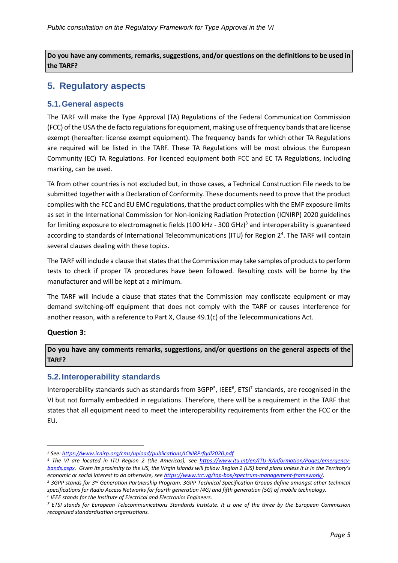**Do you have any comments, remarks, suggestions, and/or questions on the definitions to be used in the TARF?**

## <span id="page-5-0"></span>**5. Regulatory aspects**

## <span id="page-5-1"></span>**5.1.General aspects**

The TARF will make the Type Approval (TA) Regulations of the Federal Communication Commission (FCC) of the USA the de facto regulations for equipment, making use of frequency bands that are license exempt (hereafter: license exempt equipment). The frequency bands for which other TA Regulations are required will be listed in the TARF. These TA Regulations will be most obvious the European Community (EC) TA Regulations. For licenced equipment both FCC and EC TA Regulations, including marking, can be used.

TA from other countries is not excluded but, in those cases, a Technical Construction File needs to be submitted together with a Declaration of Conformity. These documents need to prove that the product complies with the FCC and EU EMC regulations, that the product complies with the EMF exposure limits as set in the International Commission for Non-Ionizing Radiation Protection (ICNIRP) 2020 guidelines for limiting exposure to electromagnetic fields (100 kHz - 300 GHz)<sup>3</sup> and interoperability is guaranteed according to standards of International Telecommunications (ITU) for Region 2<sup>4</sup>. The TARF will contain several clauses dealing with these topics.

The TARF will include a clause that states that the Commission may take samples of products to perform tests to check if proper TA procedures have been followed. Resulting costs will be borne by the manufacturer and will be kept at a minimum.

The TARF will include a clause that states that the Commission may confiscate equipment or may demand switching-off equipment that does not comply with the TARF or causes interference for another reason, with a reference to Part X, Clause 49.1(c) of the Telecommunications Act.

## **Question 3:**

**Do you have any comments remarks, suggestions, and/or questions on the general aspects of the TARF?**

## <span id="page-5-2"></span>**5.2.Interoperability standards**

Interoperability standards such as standards from 3GPP<sup>5</sup>, IEEE<sup>6</sup>, ETSI<sup>7</sup> standards, are recognised in the VI but not formally embedded in regulations. Therefore, there will be a requirement in the TARF that states that all equipment need to meet the interoperability requirements from either the FCC or the EU.

*6 IEEE stands for the Institute of Electrical and Electronics Engineers.*

*<sup>3</sup> See:<https://www.icnirp.org/cms/upload/publications/ICNIRPrfgdl2020.pdf>*

*<sup>4</sup> The VI are located in ITU Region 2 (the Americas), see [https://www.itu.int/en/ITU-R/information/Pages/emergency](https://www.itu.int/en/ITU-R/information/Pages/emergency-bands.aspx)[bands.aspx.](https://www.itu.int/en/ITU-R/information/Pages/emergency-bands.aspx) Given its proximity to the US, the Virgin Islands will follow Region 2 (US) band plans unless it is in the Territory's economic or social interest to do otherwise, se[e https://www.trc.vg/top-box/spectrum-management-framework/.](https://www.trc.vg/top-box/spectrum-management-framework/)* 

*<sup>5</sup> 3GPP stands for 3rd Generation Partnership Program. 3GPP Technical Specification Groups define amongst other technical specifications for Radio Access Networks for fourth generation (4G) and fifth generation (5G) of mobile technology.*

*<sup>7</sup> ETSI stands for European Telecommunications Standards Institute. It is one of the three by the European Commission recognised standardisation organisations.*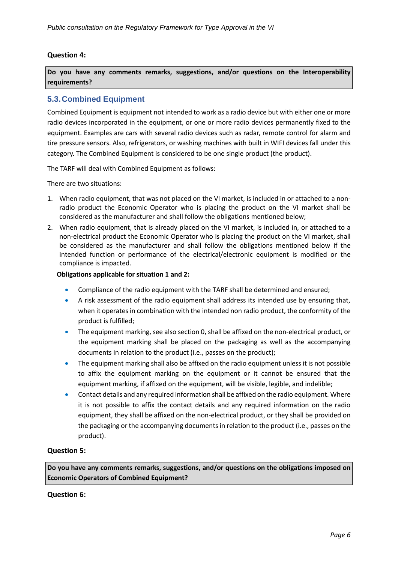## **Question 4:**

**Do you have any comments remarks, suggestions, and/or questions on the Interoperability requirements?** 

## <span id="page-6-0"></span>**5.3.Combined Equipment**

Combined Equipment is equipment not intended to work as a radio device but with either one or more radio devices incorporated in the equipment, or one or more radio devices permanently fixed to the equipment. Examples are cars with several radio devices such as radar, remote control for alarm and tire pressure sensors. Also, refrigerators, or washing machines with built in WIFI devices fall under this category. The Combined Equipment is considered to be one single product (the product).

The TARF will deal with Combined Equipment as follows:

There are two situations:

- 1. When radio equipment, that was not placed on the VI market, is included in or attached to a nonradio product the Economic Operator who is placing the product on the VI market shall be considered as the manufacturer and shall follow the obligations mentioned below;
- 2. When radio equipment, that is already placed on the VI market, is included in, or attached to a non-electrical product the Economic Operator who is placing the product on the VI market, shall be considered as the manufacturer and shall follow the obligations mentioned below if the intended function or performance of the electrical/electronic equipment is modified or the compliance is impacted.

#### **Obligations applicable for situation 1 and 2:**

- Compliance of the radio equipment with the TARF shall be determined and ensured;
- A risk assessment of the radio equipment shall address its intended use by ensuring that, when it operates in combination with the intended non radio product, the conformity of the product is fulfilled;
- The equipment marking, see also sectio[n 0,](#page-9-3) shall be affixed on the non-electrical product, or the equipment marking shall be placed on the packaging as well as the accompanying documents in relation to the product (i.e., passes on the product);
- The equipment marking shall also be affixed on the radio equipment unless it is not possible to affix the equipment marking on the equipment or it cannot be ensured that the equipment marking, if affixed on the equipment, will be visible, legible, and indelible;
- Contact details and any required information shall be affixed on the radio equipment. Where it is not possible to affix the contact details and any required information on the radio equipment, they shall be affixed on the non-electrical product, or they shall be provided on the packaging or the accompanying documents in relation to the product (i.e., passes on the product).

## **Question 5:**

**Do you have any comments remarks, suggestions, and/or questions on the obligations imposed on Economic Operators of Combined Equipment?** 

#### **Question 6:**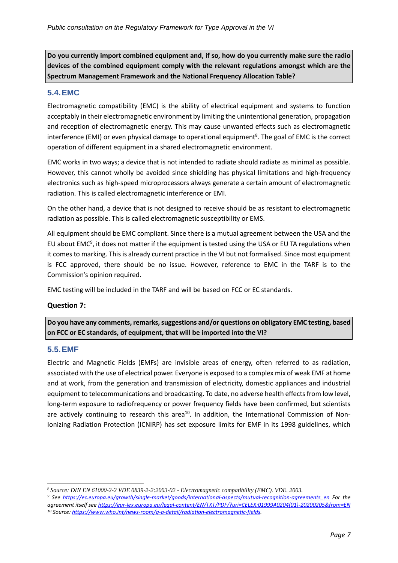**Do you currently import combined equipment and, if so, how do you currently make sure the radio devices of the combined equipment comply with the relevant regulations amongst which are the Spectrum Management Framework and the National Frequency Allocation Table?**

## <span id="page-7-0"></span>**5.4.EMC**

Electromagnetic compatibility (EMC) is the ability of electrical equipment and systems to function acceptably in their electromagnetic environment by limiting the unintentional generation, propagation and reception of electromagnetic energy. This may cause unwanted effects such as electromagnetic interference (EMI) or even physical damage to operational equipment<sup>8</sup>. The goal of EMC is the correct operation of different equipment in a shared electromagnetic environment.

EMC works in two ways; a device that is not intended to radiate should radiate as minimal as possible. However, this cannot wholly be avoided since shielding has physical limitations and high-frequency electronics such as high-speed microprocessors always generate a certain amount of electromagnetic radiation. This is called electromagnetic interference or EMI.

On the other hand, a device that is not designed to receive should be as resistant to electromagnetic radiation as possible. This is called electromagnetic susceptibility or EMS.

All equipment should be EMC compliant. Since there is a mutual agreement between the USA and the EU about EMC<sup>9</sup>, it does not matter if the equipment is tested using the USA or EU TA regulations when it comes to marking. This is already current practice in the VI but not formalised. Since most equipment is FCC approved, there should be no issue. However, reference to EMC in the TARF is to the Commission's opinion required.

EMC testing will be included in the TARF and will be based on FCC or EC standards.

## **Question 7:**

**Do you have any comments, remarks, suggestions and/or questions on obligatory EMC testing, based on FCC or EC standards, of equipment, that will be imported into the VI?**

## <span id="page-7-1"></span>**5.5.EMF**

Electric and Magnetic Fields (EMFs) are invisible areas of energy, often referred to as radiation, associated with the use of electrical power. Everyone is exposed to a complex mix of weak EMF at home and at work, from the generation and transmission of electricity, domestic appliances and industrial equipment to telecommunications and broadcasting. To date, no adverse health effects from low level, long-term exposure to radiofrequency or power frequency fields have been confirmed, but scientists are actively continuing to research this area<sup>10</sup>. In addition, the International Commission of Non-Ionizing Radiation Protection (ICNIRP) has set exposure limits for EMF in its 1998 guidelines, which

<sup>8</sup> *Source: DIN EN 61000-2-2 VDE 0839-2-2:2003-02 - Electromagnetic compatibility (EMC). VDE. 2003.*

*<sup>9</sup> See [https://ec.europa.eu/growth/single-market/goods/international-aspects/mutual-recognition-agreements\\_en](https://ec.europa.eu/growth/single-market/goods/international-aspects/mutual-recognition-agreements_en) For the agreement itself se[e https://eur-lex.europa.eu/legal-content/EN/TXT/PDF/?uri=CELEX:01999A0204\(01\)-20200205&from=EN](https://eur-lex.europa.eu/legal-content/EN/TXT/PDF/?uri=CELEX:01999A0204(01)-20200205&from=EN) <sup>10</sup> Source: [https://www.who.int/news-room/q-a-detail/radiation-electromagnetic-fields.](https://www.who.int/news-room/q-a-detail/radiation-electromagnetic-fields)*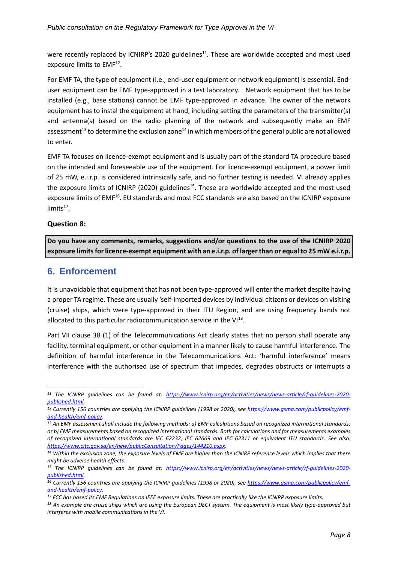were recently replaced by ICNIRP's 2020 guidelines<sup>11</sup>. These are worldwide accepted and most used exposure limits to EMF<sup>12</sup>.

For EMF TA, the type of equipment (i.e., end-user equipment or network equipment) is essential. Enduser equipment can be EMF type-approved in a test laboratory. Network equipment that has to be installed (e.g., base stations) cannot be EMF type-approved in advance. The owner of the network equipment has to instal the equipment at hand, including setting the parameters of the transmitter(s) and antenna(s) based on the radio planning of the network and subsequently make an EMF assessment<sup>13</sup> to determine the exclusion zone<sup>14</sup> in which members of the general public are not allowed to enter.

EMF TA focuses on licence-exempt equipment and is usually part of the standard TA procedure based on the intended and foreseeable use of the equipment. For licence-exempt equipment, a power limit of 25 mW, e.i.r.p. is considered intrinsically safe, and no further testing is needed. VI already applies the exposure limits of ICNIRP (2020) guidelines<sup>15</sup>. These are worldwide accepted and the most used exposure limits of EMF<sup>16</sup>. EU standards and most FCC standards are also based on the ICNIRP exposure  $limits<sup>17</sup>$ .

## **Question 8:**

**Do you have any comments, remarks, suggestions and/or questions to the use of the ICNIRP 2020 exposure limits for licence-exempt equipment with an e.i.r.p. of larger than or equal to 25 mW e.i.r.p.**

## <span id="page-8-0"></span>**6. Enforcement**

It is unavoidable that equipment that has not been type-approved will enter the market despite having a proper TA regime. These are usually 'self-imported devices by individual citizens or devices on visiting (cruise) ships, which were type-approved in their ITU Region, and are using frequency bands not allocated to this particular radiocommunication service in the VI $^{18}$ .

Part VII clause 38 (1) of the Telecommunications Act clearly states that no person shall operate any facility, terminal equipment, or other equipment in a manner likely to cause harmful interference. The definition of harmful interference in the Telecommunications Act: 'harmful interference' means interference with the authorised use of spectrum that impedes, degrades obstructs or interrupts a

*<sup>11</sup> The ICNIRP guidelines can be found at: [https://www.icnirp.org/en/activities/news/news-article/rf-guidelines-2020](https://www.icnirp.org/en/activities/news/news-article/rf-guidelines-2020-published.html) [published.html.](https://www.icnirp.org/en/activities/news/news-article/rf-guidelines-2020-published.html)* 

*<sup>12</sup> Currently 156 countries are applying the ICNIRP guidelines (1998 or 2020), see [https://www.gsma.com/publicpolicy/emf](https://www.gsma.com/publicpolicy/emf-and-health/emf-policy)[and-health/emf-policy.](https://www.gsma.com/publicpolicy/emf-and-health/emf-policy)* 

*<sup>13</sup> An EMF assessment shall include the following methods: a) EMF calculations based on recognized international standards; or b) EMF measurements based on recognized international standards. Both for calculations and for measurements examples of recognized international standards are IEC 62232, IEC 62669 and IEC 62311 or equivalent ITU standards. See also: [https://www.citc.gov.sa/en/new/publicConsultation/Pages/144210.aspx.](https://www.citc.gov.sa/en/new/publicConsultation/Pages/144210.aspx)* 

*<sup>14</sup> Within the exclusion zone, the exposure levels of EMF are higher than the ICNIRP reference levels which implies that there might be adverse health effects.* 

*<sup>15</sup> The ICNIRP guidelines can be found at: [https://www.icnirp.org/en/activities/news/news-article/rf-guidelines-2020](https://www.icnirp.org/en/activities/news/news-article/rf-guidelines-2020-published.html) [published.html.](https://www.icnirp.org/en/activities/news/news-article/rf-guidelines-2020-published.html)* 

*<sup>16</sup> Currently 156 countries are applying the ICNIRP guidelines (1998 or 2020), see [https://www.gsma.com/publicpolicy/emf](https://www.gsma.com/publicpolicy/emf-and-health/emf-policy)[and-health/emf-policy.](https://www.gsma.com/publicpolicy/emf-and-health/emf-policy)* 

*<sup>17</sup> FCC has based its EMF Regulations on IEEE exposure limits. These are practically like the ICNIRP exposure limits.*

*<sup>18</sup> An example are cruise ships which are using the European DECT system. The equipment is most likely type-approved but interferes with mobile communications in the VI.*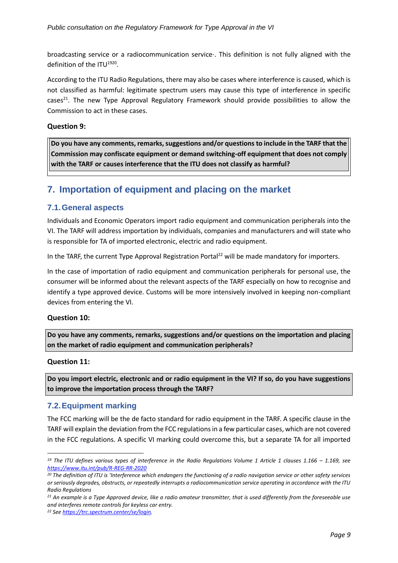broadcasting service or a radiocommunication service·. This definition is not fully aligned with the definition of the ITU<sup>1920</sup>.

According to the ITU Radio Regulations, there may also be cases where interference is caused, which is not classified as harmful: legitimate spectrum users may cause this type of interference in specific cases<sup>21</sup>. The new Type Approval Regulatory Framework should provide possibilities to allow the Commission to act in these cases.

#### **Question 9:**

**Do you have any comments, remarks, suggestions and/or questions to include in the TARF that the Commission may confiscate equipment or demand switching-off equipment that does not comply with the TARF or causes interference that the ITU does not classify as harmful?**

## <span id="page-9-0"></span>**7. Importation of equipment and placing on the market**

## <span id="page-9-1"></span>**7.1.General aspects**

Individuals and Economic Operators import radio equipment and communication peripherals into the VI. The TARF will address importation by individuals, companies and manufacturers and will state who is responsible for TA of imported electronic, electric and radio equipment.

In the TARF, the current Type Approval Registration Portal<sup>22</sup> will be made mandatory for importers.

In the case of importation of radio equipment and communication peripherals for personal use, the consumer will be informed about the relevant aspects of the TARF especially on how to recognise and identify a type approved device. Customs will be more intensively involved in keeping non-compliant devices from entering the VI.

#### **Question 10:**

**Do you have any comments, remarks, suggestions and/or questions on the importation and placing on the market of radio equipment and communication peripherals?**

#### <span id="page-9-3"></span>**Question 11:**

**Do you import electric, electronic and or radio equipment in the VI? If so, do you have suggestions to improve the importation process through the TARF?**

## <span id="page-9-2"></span>**7.2.Equipment marking**

The FCC marking will be the de facto standard for radio equipment in the TARF. A specific clause in the TARF will explain the deviation from the FCC regulations in a few particular cases, which are not covered in the FCC regulations. A specific VI marking could overcome this, but a separate TA for all imported

*<sup>19</sup> The ITU defines various types of interference in the Radio Regulations Volume 1 Article 1 clauses 1.166 – 1.169, see <https://www.itu.int/pub/R-REG-RR-2020>*

*<sup>20</sup> The definition of ITU is 'Interference which endangers the functioning of a radio navigation service or other safety services or seriously degrades, obstructs, or repeatedly interrupts a radiocommunication service operating in accordance with the ITU Radio Regulations*

*<sup>21</sup> An example is a Type Approved device, like a radio amateur transmitter, that is used differently from the foreseeable use and interferes remote controls for keyless car entry.* 

*<sup>22</sup> Se[e https://trc.spectrum.center/se/login.](https://trc.spectrum.center/se/login)*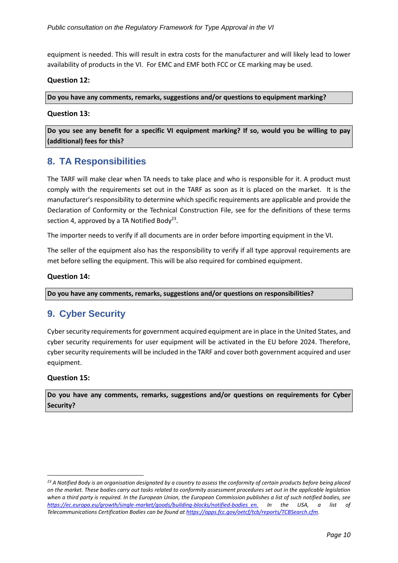equipment is needed. This will result in extra costs for the manufacturer and will likely lead to lower availability of products in the VI. For EMC and EMF both FCC or CE marking may be used.

#### **Question 12:**

**Do you have any comments, remarks, suggestions and/or questions to equipment marking?**

#### **Question 13:**

**Do you see any benefit for a specific VI equipment marking? If so, would you be willing to pay (additional) fees for this?**

## <span id="page-10-0"></span>**8. TA Responsibilities**

The TARF will make clear when TA needs to take place and who is responsible for it. A product must comply with the requirements set out in the TARF as soon as it is placed on the market. It is the manufacturer's responsibility to determine which specific requirements are applicable and provide the Declaration of Conformity or the Technical Construction File, see for the definitions of these terms sectio[n 4,](#page-4-0) approved by a TA Notified Body<sup>23</sup>.

The importer needs to verify if all documents are in order before importing equipment in the VI.

The seller of the equipment also has the responsibility to verify if all type approval requirements are met before selling the equipment. This will be also required for combined equipment.

#### **Question 14:**

**Do you have any comments, remarks, suggestions and/or questions on responsibilities?**

## <span id="page-10-1"></span>**9. Cyber Security**

Cyber security requirements for government acquired equipment are in place in the United States, and cyber security requirements for user equipment will be activated in the EU before 2024. Therefore, cyber security requirements will be included in the TARF and cover both government acquired and user equipment.

#### **Question 15:**

**Do you have any comments, remarks, suggestions and/or questions on requirements for Cyber Security?**

*<sup>23</sup> A Notified Body is an organisation designated by a country to assess the conformity of certain products before being placed on the market. These bodies carry out tasks related to conformity assessment procedures set out in the applicable legislation when a third party is required. In the European Union, the European Commission publishes a list of such notified bodies, see [https://ec.europa.eu/growth/single-market/goods/building-blocks/notified-bodies\\_en.](https://ec.europa.eu/growth/single-market/goods/building-blocks/notified-bodies_en.) In the USA, a list of Telecommunications Certification Bodies can be found a[t https://apps.fcc.gov/oetcf/tcb/reports/TCBSearch.cfm.](https://apps.fcc.gov/oetcf/tcb/reports/TCBSearch.cfm)*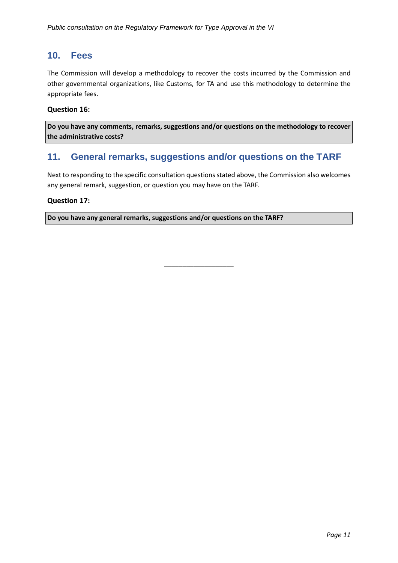## <span id="page-11-0"></span>**10. Fees**

The Commission will develop a methodology to recover the costs incurred by the Commission and other governmental organizations, like Customs, for TA and use this methodology to determine the appropriate fees.

## **Question 16:**

**Do you have any comments, remarks, suggestions and/or questions on the methodology to recover the administrative costs?**

## <span id="page-11-1"></span>**11. General remarks, suggestions and/or questions on the TARF**

Next to responding to the specific consultation questions stated above, the Commission also welcomes any general remark, suggestion, or question you may have on the TARF.

#### **Question 17:**

**Do you have any general remarks, suggestions and/or questions on the TARF?**

\_\_\_\_\_\_\_\_\_\_\_\_\_\_\_\_\_\_\_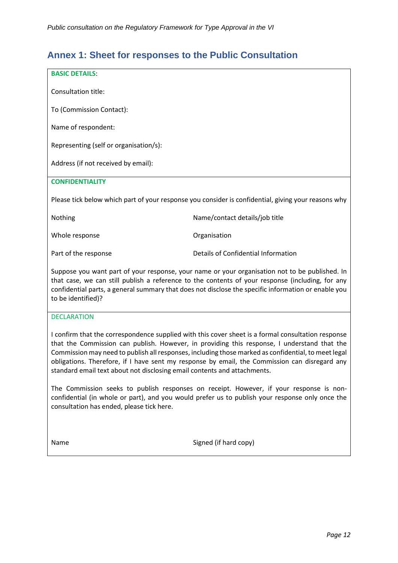## <span id="page-12-0"></span>**Annex 1: Sheet for responses to the Public Consultation**

| <b>BASIC DETAILS:</b>                                                                                                                                                                                                                                                                                                           |                                     |  |
|---------------------------------------------------------------------------------------------------------------------------------------------------------------------------------------------------------------------------------------------------------------------------------------------------------------------------------|-------------------------------------|--|
| Consultation title:                                                                                                                                                                                                                                                                                                             |                                     |  |
| To (Commission Contact):                                                                                                                                                                                                                                                                                                        |                                     |  |
| Name of respondent:                                                                                                                                                                                                                                                                                                             |                                     |  |
| Representing (self or organisation/s):                                                                                                                                                                                                                                                                                          |                                     |  |
| Address (if not received by email):                                                                                                                                                                                                                                                                                             |                                     |  |
| <b>CONFIDENTIALITY</b>                                                                                                                                                                                                                                                                                                          |                                     |  |
| Please tick below which part of your response you consider is confidential, giving your reasons why                                                                                                                                                                                                                             |                                     |  |
| Nothing                                                                                                                                                                                                                                                                                                                         | Name/contact details/job title      |  |
| Whole response                                                                                                                                                                                                                                                                                                                  | Organisation                        |  |
| Part of the response                                                                                                                                                                                                                                                                                                            | Details of Confidential Information |  |
| Suppose you want part of your response, your name or your organisation not to be published. In<br>that case, we can still publish a reference to the contents of your response (including, for any<br>confidential parts, a general summary that does not disclose the specific information or enable you<br>to be identified)? |                                     |  |

#### DECLARATION

I confirm that the correspondence supplied with this cover sheet is a formal consultation response that the Commission can publish. However, in providing this response, I understand that the Commission may need to publish all responses, including those marked as confidential, to meet legal obligations. Therefore, if I have sent my response by email, the Commission can disregard any standard email text about not disclosing email contents and attachments.

The Commission seeks to publish responses on receipt. However, if your response is nonconfidential (in whole or part), and you would prefer us to publish your response only once the consultation has ended, please tick here.

Name Signed (if hard copy)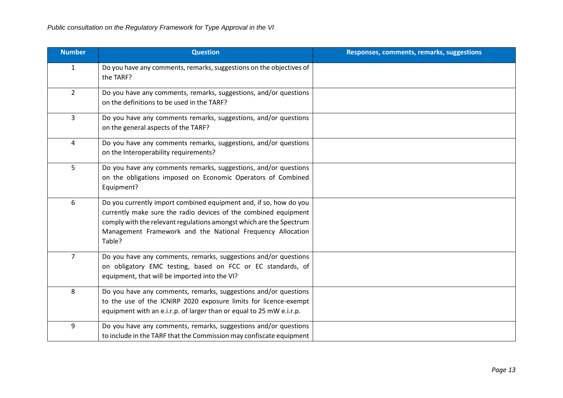| <b>Number</b>  | <b>Question</b>                                                                                                                                                                                                                                                                     | Responses, comments, remarks, suggestions |
|----------------|-------------------------------------------------------------------------------------------------------------------------------------------------------------------------------------------------------------------------------------------------------------------------------------|-------------------------------------------|
| 1              | Do you have any comments, remarks, suggestions on the objectives of<br>the TARF?                                                                                                                                                                                                    |                                           |
| $\overline{2}$ | Do you have any comments, remarks, suggestions, and/or questions<br>on the definitions to be used in the TARF?                                                                                                                                                                      |                                           |
| 3              | Do you have any comments remarks, suggestions, and/or questions<br>on the general aspects of the TARF?                                                                                                                                                                              |                                           |
| 4              | Do you have any comments remarks, suggestions, and/or questions<br>on the Interoperability requirements?                                                                                                                                                                            |                                           |
| 5              | Do you have any comments remarks, suggestions, and/or questions<br>on the obligations imposed on Economic Operators of Combined<br>Equipment?                                                                                                                                       |                                           |
| 6              | Do you currently import combined equipment and, if so, how do you<br>currently make sure the radio devices of the combined equipment<br>comply with the relevant regulations amongst which are the Spectrum<br>Management Framework and the National Frequency Allocation<br>Table? |                                           |
| $\overline{7}$ | Do you have any comments, remarks, suggestions and/or questions<br>on obligatory EMC testing, based on FCC or EC standards, of<br>equipment, that will be imported into the VI?                                                                                                     |                                           |
| 8              | Do you have any comments, remarks, suggestions and/or questions<br>to the use of the ICNIRP 2020 exposure limits for licence-exempt<br>equipment with an e.i.r.p. of larger than or equal to 25 mW e.i.r.p.                                                                         |                                           |
| 9              | Do you have any comments, remarks, suggestions and/or questions<br>to include in the TARF that the Commission may confiscate equipment                                                                                                                                              |                                           |